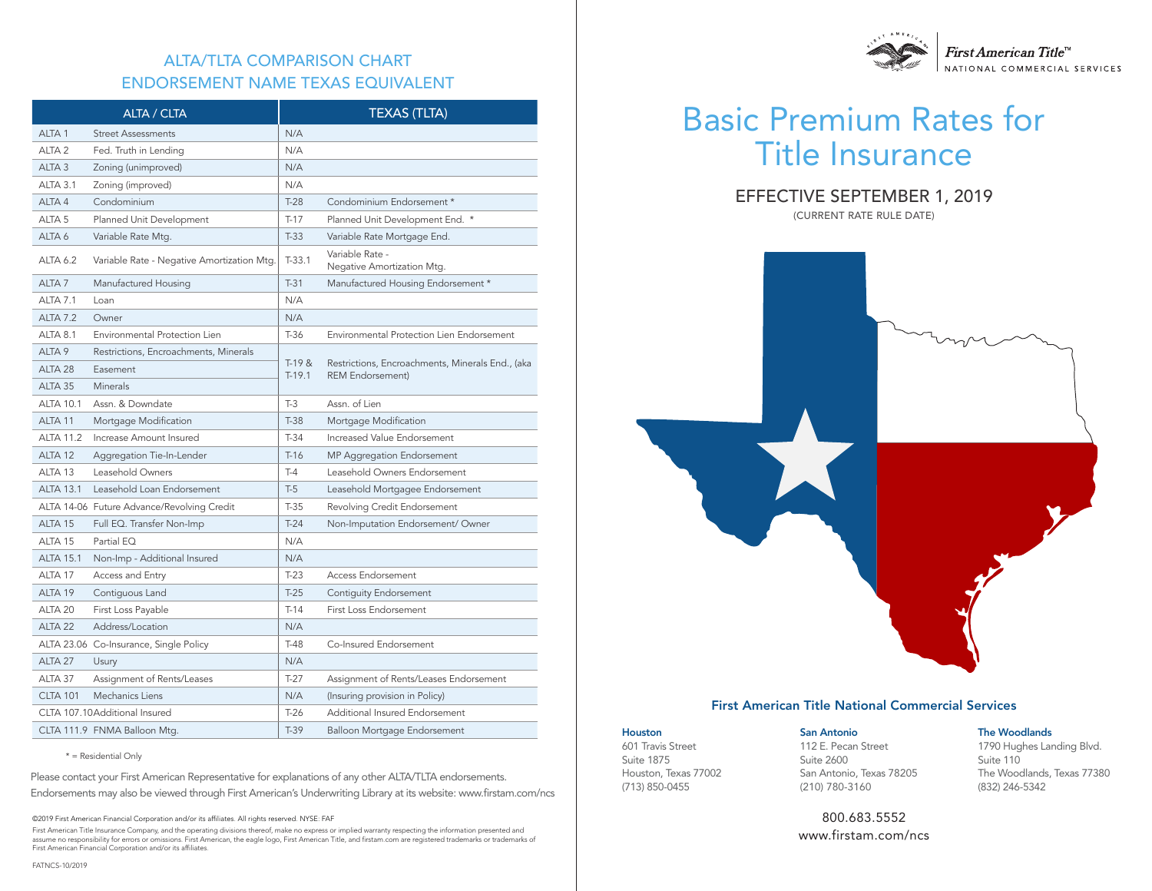# ALTA/TLTA COMPARISON CHART ENDORSEMENT NAME TEXAS EQUIVALENT

|                    | ALTA / CLTA                                |                      | <b>TEXAS (TLTA)</b>                                                         |  |  |
|--------------------|--------------------------------------------|----------------------|-----------------------------------------------------------------------------|--|--|
| ALTA <sub>1</sub>  | <b>Street Assessments</b>                  | N/A                  |                                                                             |  |  |
| ALTA <sub>2</sub>  | Fed. Truth in Lending                      | N/A                  |                                                                             |  |  |
| ALTA <sub>3</sub>  | Zoning (unimproved)                        | N/A                  |                                                                             |  |  |
| ALTA 3.1           | Zoning (improved)                          | N/A                  |                                                                             |  |  |
| ALTA 4             | Condominium                                | $T-28$               | Condominium Endorsement *                                                   |  |  |
| ALTA 5             | Planned Unit Development                   | $T-17$               | Planned Unit Development End. *                                             |  |  |
| ALTA <sub>6</sub>  | Variable Rate Mtg.                         | $T-33$               | Variable Rate Mortgage End.                                                 |  |  |
| <b>ALTA 6.2</b>    | Variable Rate - Negative Amortization Mtg. | $T-33.1$             | Variable Rate -<br>Negative Amortization Mtg.                               |  |  |
| ALTA <sub>7</sub>  | Manufactured Housing                       | $T-31$               | Manufactured Housing Endorsement *                                          |  |  |
| ALTA 7.1           | Loan                                       | N/A                  |                                                                             |  |  |
| <b>ALTA 7.2</b>    | Owner                                      | N/A                  |                                                                             |  |  |
| ALTA 8.1           | Environmental Protection Lien              | $T-36$               | Environmental Protection Lien Endorsement                                   |  |  |
| ALTA <sub>9</sub>  | Restrictions, Encroachments, Minerals      |                      |                                                                             |  |  |
| ALTA <sub>28</sub> | Easement                                   | $T-19 &$<br>$T-19.1$ | Restrictions, Encroachments, Minerals End., (aka<br><b>REM Endorsement)</b> |  |  |
| ALTA 35            | <b>Minerals</b>                            |                      |                                                                             |  |  |
| <b>ALTA 10.1</b>   | Assn. & Downdate                           | $T-3$                | Assn. of Lien                                                               |  |  |
| ALTA <sub>11</sub> | Mortgage Modification                      | $T-38$               | Mortgage Modification                                                       |  |  |
| <b>ALTA 11.2</b>   | Increase Amount Insured                    | $T-34$               | Increased Value Endorsement                                                 |  |  |
| ALTA <sub>12</sub> | Aggregation Tie-In-Lender                  | $T-16$               | MP Aggregation Endorsement                                                  |  |  |
| ALTA <sub>13</sub> | Leasehold Owners                           | $T-4$                | Leasehold Owners Endorsement                                                |  |  |
| <b>ALTA 13.1</b>   | Leasehold Loan Endorsement                 | $T-5$                | Leasehold Mortgagee Endorsement                                             |  |  |
|                    | ALTA 14-06 Future Advance/Revolving Credit | $T-35$               | Revolving Credit Endorsement                                                |  |  |
| ALTA <sub>15</sub> | Full EQ. Transfer Non-Imp                  | $T-24$               | Non-Imputation Endorsement/ Owner                                           |  |  |
| ALTA 15            | Partial EQ                                 | N/A                  |                                                                             |  |  |
| <b>ALTA 15.1</b>   | Non-Imp - Additional Insured               | N/A                  |                                                                             |  |  |
| ALTA 17            | Access and Entry                           | $T-23$               | <b>Access Endorsement</b>                                                   |  |  |
| ALTA 19            | Contiguous Land                            | $T-25$               | Contiguity Endorsement                                                      |  |  |
| ALTA 20            | First Loss Payable                         | $T-14$               | First Loss Endorsement                                                      |  |  |
| ALTA <sub>22</sub> | Address/Location                           | N/A                  |                                                                             |  |  |
|                    | ALTA 23.06 Co-Insurance, Single Policy     | $T-48$               | Co-Insured Endorsement                                                      |  |  |
| ALTA <sub>27</sub> | Usury                                      | N/A                  |                                                                             |  |  |
| ALTA 37            | Assignment of Rents/Leases                 | $T-27$               | Assignment of Rents/Leases Endorsement                                      |  |  |
| <b>CLTA 101</b>    | Mechanics Liens                            | N/A                  | (Insuring provision in Policy)                                              |  |  |
|                    | CLTA 107.10Additional Insured              | $T-26$               | Additional Insured Endorsement                                              |  |  |
|                    | CLTA 111.9 FNMA Balloon Mtg.               | $T-39$               | Balloon Mortgage Endorsement                                                |  |  |

\* = Residential Only

Please contact your First American Representative for explanations of any other ALTA/TLTA endorsements. Endorsements may also be viewed through First American's Underwriting Library at its website: www.firstam.com/ncs

©2019 First American Financial Corporation and/or its affiliates. All rights reserved. NYSE: FAF

First American Title Insurance Company, and the operating divisions thereof, make no express or implied warranty respecting the information presented and assume no responsibility for errors or omissions. First American, the eagle logo, First American Title, and firstam.com are registered trademarks or trademarks of First American Financial Corporation and/or its affiliates.



# Basic Premium Rates for Title Insurance

## EFFECTIVE SEPTEMBER 1, 2019

(CURRENT RATE RULE DATE)



#### First American Title National Commercial Services

Houston 601 Travis Street Suite 1875 Houston, Texas 77002 (713) 850-0455

San Antonio 112 E. Pecan Street Suite 2600 San Antonio, Texas 78205 (210) 780-3160

#### The Woodlands

1790 Hughes Landing Blvd. Suite 110 The Woodlands, Texas 77380 (832) 246-5342

800.683.5552 www.firstam.com/ncs